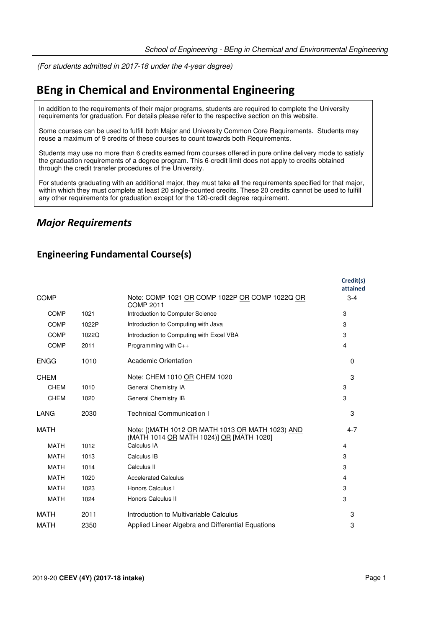(For students admitted in 2017-18 under the 4-year degree)

# **BEng in Chemical and Environmental Engineering**

In addition to the requirements of their major programs, students are required to complete the University requirements for graduation. For details please refer to the respective section on this website.

Some courses can be used to fulfill both Major and University Common Core Requirements. Students may reuse a maximum of 9 credits of these courses to count towards both Requirements.

Students may use no more than 6 credits earned from courses offered in pure online delivery mode to satisfy the graduation requirements of a degree program. This 6-credit limit does not apply to credits obtained through the credit transfer procedures of the University.

For students graduating with an additional major, they must take all the requirements specified for that major, within which they must complete at least 20 single-counted credits. These 20 credits cannot be used to fulfill any other requirements for graduation except for the 120-credit degree requirement.

## *Major Requirements*

### **Engineering Fundamental Course(s)**

|             |       |                                                                                              | Credit(s)<br>attained |
|-------------|-------|----------------------------------------------------------------------------------------------|-----------------------|
| <b>COMP</b> |       | Note: COMP 1021 OR COMP 1022P OR COMP 1022Q OR<br>COMP 2011                                  | $3 - 4$               |
| <b>COMP</b> | 1021  | Introduction to Computer Science                                                             | 3                     |
| <b>COMP</b> | 1022P | Introduction to Computing with Java                                                          | 3                     |
| <b>COMP</b> | 1022Q | Introduction to Computing with Excel VBA                                                     | 3                     |
| <b>COMP</b> | 2011  | Programming with C++                                                                         | 4                     |
| <b>ENGG</b> | 1010  | <b>Academic Orientation</b>                                                                  | $\Omega$              |
| CHEM        |       | Note: CHEM 1010 OR CHEM 1020                                                                 | 3                     |
| <b>CHEM</b> | 1010  | General Chemistry IA                                                                         | 3                     |
| <b>CHEM</b> | 1020  | General Chemistry IB                                                                         | 3                     |
| LANG        | 2030  | <b>Technical Communication I</b>                                                             | 3                     |
| MATH        |       | Note: [(MATH 1012 OR MATH 1013 OR MATH 1023) AND<br>(MATH 1014 OR MATH 1024)] OR [MATH 1020] | $4 - 7$               |
| <b>MATH</b> | 1012  | Calculus IA                                                                                  | 4                     |
| <b>MATH</b> | 1013  | Calculus IB                                                                                  | 3                     |
| <b>MATH</b> | 1014  | Calculus II                                                                                  | 3                     |
| <b>MATH</b> | 1020  | <b>Accelerated Calculus</b>                                                                  | 4                     |
| <b>MATH</b> | 1023  | Honors Calculus I                                                                            | 3                     |
| <b>MATH</b> | 1024  | Honors Calculus II                                                                           | 3                     |
| MATH        | 2011  | Introduction to Multivariable Calculus                                                       | 3                     |
| <b>MATH</b> | 2350  | Applied Linear Algebra and Differential Equations                                            | 3                     |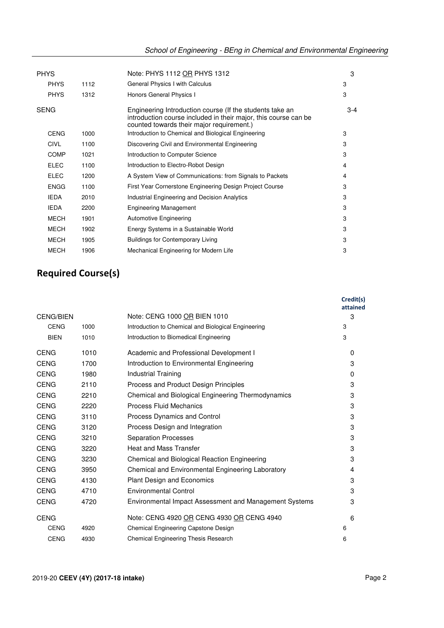| <b>PHYS</b> |      | Note: PHYS 1112 OR PHYS 1312                                                                                                                                             | 3     |
|-------------|------|--------------------------------------------------------------------------------------------------------------------------------------------------------------------------|-------|
| <b>PHYS</b> | 1112 | General Physics I with Calculus                                                                                                                                          | 3     |
| <b>PHYS</b> | 1312 | Honors General Physics I                                                                                                                                                 | 3     |
| <b>SENG</b> |      | Engineering Introduction course (If the students take an<br>introduction course included in their major, this course can be<br>counted towards their major requirement.) | $3-4$ |
| <b>CENG</b> | 1000 | Introduction to Chemical and Biological Engineering                                                                                                                      | 3     |
| <b>CIVL</b> | 1100 | Discovering Civil and Environmental Engineering                                                                                                                          | 3     |
| <b>COMP</b> | 1021 | Introduction to Computer Science                                                                                                                                         | 3     |
| <b>ELEC</b> | 1100 | Introduction to Electro-Robot Design                                                                                                                                     | 4     |
| <b>ELEC</b> | 1200 | A System View of Communications: from Signals to Packets                                                                                                                 | 4     |
| <b>ENGG</b> | 1100 | First Year Cornerstone Engineering Design Project Course                                                                                                                 | 3     |
| <b>IEDA</b> | 2010 | Industrial Engineering and Decision Analytics                                                                                                                            | 3     |
| <b>IEDA</b> | 2200 | <b>Engineering Management</b>                                                                                                                                            | 3     |
| <b>MECH</b> | 1901 | <b>Automotive Engineering</b>                                                                                                                                            | 3     |
| <b>MECH</b> | 1902 | Energy Systems in a Sustainable World                                                                                                                                    | 3     |
| <b>MECH</b> | 1905 | <b>Buildings for Contemporary Living</b>                                                                                                                                 | 3     |
| <b>MECH</b> | 1906 | Mechanical Engineering for Modern Life                                                                                                                                   | 3     |

# **Required Course(s)**

|                  |      |                                                        | Credit(s)<br>attained |
|------------------|------|--------------------------------------------------------|-----------------------|
| <b>CENG/BIEN</b> |      | Note: CENG 1000 OR BIEN 1010                           | 3                     |
| <b>CENG</b>      | 1000 | Introduction to Chemical and Biological Engineering    | 3                     |
| <b>BIEN</b>      | 1010 | Introduction to Biomedical Engineering                 | 3                     |
| <b>CENG</b>      | 1010 | Academic and Professional Development I                | $\Omega$              |
| <b>CENG</b>      | 1700 | Introduction to Environmental Engineering              | 3                     |
| <b>CENG</b>      | 1980 | Industrial Training                                    | $\Omega$              |
| <b>CENG</b>      | 2110 | Process and Product Design Principles                  | 3                     |
| <b>CENG</b>      | 2210 | Chemical and Biological Engineering Thermodynamics     | 3                     |
| <b>CENG</b>      | 2220 | <b>Process Fluid Mechanics</b>                         | 3                     |
| <b>CENG</b>      | 3110 | Process Dynamics and Control                           | 3                     |
| <b>CENG</b>      | 3120 | Process Design and Integration                         | 3                     |
| <b>CENG</b>      | 3210 | <b>Separation Processes</b>                            | 3                     |
| <b>CENG</b>      | 3220 | <b>Heat and Mass Transfer</b>                          | 3                     |
| <b>CENG</b>      | 3230 | Chemical and Biological Reaction Engineering           | 3                     |
| <b>CENG</b>      | 3950 | Chemical and Environmental Engineering Laboratory      | 4                     |
| <b>CENG</b>      | 4130 | <b>Plant Design and Economics</b>                      | 3                     |
| <b>CENG</b>      | 4710 | <b>Environmental Control</b>                           | 3                     |
| <b>CENG</b>      | 4720 | Environmental Impact Assessment and Management Systems | 3                     |
| <b>CENG</b>      |      | Note: CENG 4920 OR CENG 4930 OR CENG 4940              | 6                     |
| <b>CENG</b>      | 4920 | Chemical Engineering Capstone Design                   | 6                     |
| <b>CENG</b>      | 4930 | Chemical Engineering Thesis Research                   | 6                     |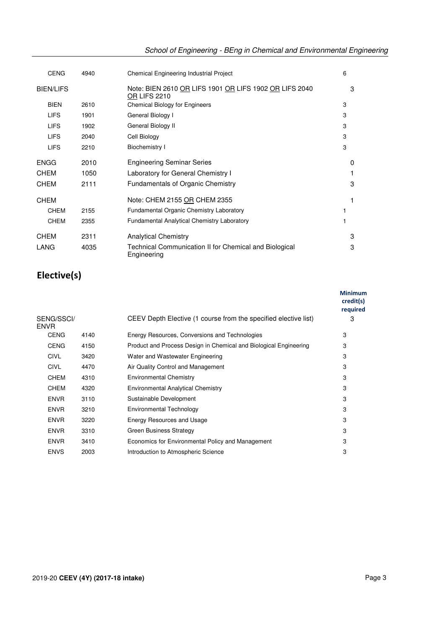| School of Engineering - BEng in Chemical and Environmental Engineering |
|------------------------------------------------------------------------|
|------------------------------------------------------------------------|

| <b>CENG</b>      | 4940 | Chemical Engineering Industrial Project                                       | 6 |
|------------------|------|-------------------------------------------------------------------------------|---|
| <b>BIEN/LIFS</b> |      | Note: BIEN 2610 OR LIFS 1901 OR LIFS 1902 OR LIFS 2040<br><b>OR LIFS 2210</b> | 3 |
| <b>BIEN</b>      | 2610 | <b>Chemical Biology for Engineers</b>                                         | 3 |
| <b>LIFS</b>      | 1901 | General Biology I                                                             | 3 |
| <b>LIFS</b>      | 1902 | General Biology II                                                            | 3 |
| <b>LIFS</b>      | 2040 | Cell Biology                                                                  | 3 |
| <b>LIFS</b>      | 2210 | <b>Biochemistry I</b>                                                         | 3 |
| ENGG             | 2010 | <b>Engineering Seminar Series</b>                                             | 0 |
| <b>CHEM</b>      | 1050 | Laboratory for General Chemistry I                                            |   |
| <b>CHEM</b>      | 2111 | <b>Fundamentals of Organic Chemistry</b>                                      | 3 |
| <b>CHEM</b>      |      | Note: CHEM 2155 OR CHEM 2355                                                  |   |
| <b>CHEM</b>      | 2155 | Fundamental Organic Chemistry Laboratory                                      |   |
| <b>CHEM</b>      | 2355 | <b>Fundamental Analytical Chemistry Laboratory</b>                            |   |
| <b>CHEM</b>      | 2311 | <b>Analytical Chemistry</b>                                                   | 3 |
| LANG             | 4035 | Technical Communication II for Chemical and Biological<br>Engineering         | 3 |

# **Elective(s)**

|                           |      |                                                                   | <b>Minimum</b><br>credit(s)<br>required |
|---------------------------|------|-------------------------------------------------------------------|-----------------------------------------|
| SENG/SSCI/<br><b>ENVR</b> |      | CEEV Depth Elective (1 course from the specified elective list)   | 3                                       |
| <b>CENG</b>               | 4140 | Energy Resources, Conversions and Technologies                    | 3                                       |
| <b>CENG</b>               | 4150 | Product and Process Design in Chemical and Biological Engineering | 3                                       |
| <b>CIVL</b>               | 3420 | Water and Wastewater Engineering                                  | 3                                       |
| <b>CIVL</b>               | 4470 | Air Quality Control and Management                                | 3                                       |
| <b>CHEM</b>               | 4310 | <b>Environmental Chemistry</b>                                    | 3                                       |
| <b>CHEM</b>               | 4320 | <b>Environmental Analytical Chemistry</b>                         | 3                                       |
| <b>ENVR</b>               | 3110 | Sustainable Development                                           | 3                                       |
| <b>ENVR</b>               | 3210 | Environmental Technology                                          | 3                                       |
| <b>ENVR</b>               | 3220 | Energy Resources and Usage                                        | 3                                       |
| <b>ENVR</b>               | 3310 | <b>Green Business Strategy</b>                                    | 3                                       |
| <b>ENVR</b>               | 3410 | Economics for Environmental Policy and Management                 | 3                                       |
| <b>ENVS</b>               | 2003 | Introduction to Atmospheric Science                               | 3                                       |